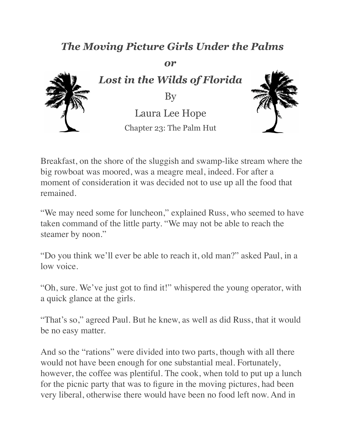## *The Moving Picture Girls Under the Palms*

*or*





Breakfast, on the shore of the sluggish and swamp-like stream where the big rowboat was moored, was a meagre meal, indeed. For after a moment of consideration it was decided not to use up all the food that remained.

"We may need some for luncheon," explained Russ, who seemed to have taken command of the little party. "We may not be able to reach the steamer by noon."

"Do you think we'll ever be able to reach it, old man?" asked Paul, in a low voice.

"Oh, sure. We've just got to find it!" whispered the young operator, with a quick glance at the girls.

"That's so," agreed Paul. But he knew, as well as did Russ, that it would be no easy matter.

And so the "rations" were divided into two parts, though with all there would not have been enough for one substantial meal. Fortunately, however, the coffee was plentiful. The cook, when told to put up a lunch for the picnic party that was to figure in the moving pictures, had been very liberal, otherwise there would have been no food left now. And in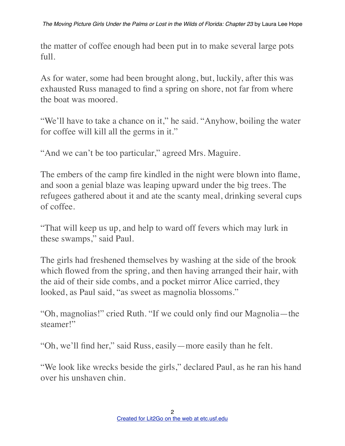the matter of coffee enough had been put in to make several large pots full.

As for water, some had been brought along, but, luckily, after this was exhausted Russ managed to find a spring on shore, not far from where the boat was moored.

"We'll have to take a chance on it," he said. "Anyhow, boiling the water for coffee will kill all the germs in it."

"And we can't be too particular," agreed Mrs. Maguire.

The embers of the camp fire kindled in the night were blown into flame, and soon a genial blaze was leaping upward under the big trees. The refugees gathered about it and ate the scanty meal, drinking several cups of coffee.

"That will keep us up, and help to ward off fevers which may lurk in these swamps," said Paul.

The girls had freshened themselves by washing at the side of the brook which flowed from the spring, and then having arranged their hair, with the aid of their side combs, and a pocket mirror Alice carried, they looked, as Paul said, "as sweet as magnolia blossoms."

"Oh, magnolias!" cried Ruth. "If we could only find our Magnolia—the steamer!"

"Oh, we'll find her," said Russ, easily—more easily than he felt.

"We look like wrecks beside the girls," declared Paul, as he ran his hand over his unshaven chin.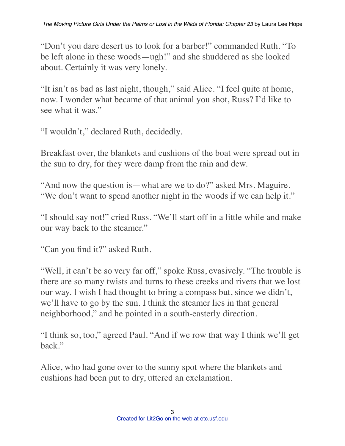"Don't you dare desert us to look for a barber!" commanded Ruth. "To be left alone in these woods—ugh!" and she shuddered as she looked about. Certainly it was very lonely.

"It isn't as bad as last night, though," said Alice. "I feel quite at home, now. I wonder what became of that animal you shot, Russ? I'd like to see what it was."

"I wouldn't," declared Ruth, decidedly.

Breakfast over, the blankets and cushions of the boat were spread out in the sun to dry, for they were damp from the rain and dew.

"And now the question is—what are we to do?" asked Mrs. Maguire. "We don't want to spend another night in the woods if we can help it."

"I should say not!" cried Russ. "We'll start off in a little while and make our way back to the steamer."

"Can you find it?" asked Ruth.

"Well, it can't be so very far off," spoke Russ, evasively. "The trouble is there are so many twists and turns to these creeks and rivers that we lost our way. I wish I had thought to bring a compass but, since we didn't, we'll have to go by the sun. I think the steamer lies in that general neighborhood," and he pointed in a south-easterly direction.

"I think so, too," agreed Paul. "And if we row that way I think we'll get back."

Alice, who had gone over to the sunny spot where the blankets and cushions had been put to dry, uttered an exclamation.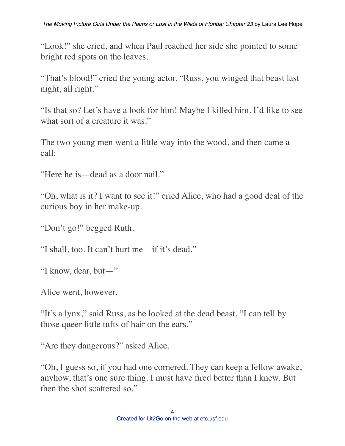"Look!" she cried, and when Paul reached her side she pointed to some bright red spots on the leaves.

"That's blood!" cried the young actor. "Russ, you winged that beast last night, all right."

"Is that so? Let's have a look for him! Maybe I killed him. I'd like to see what sort of a creature it was."

The two young men went a little way into the wood, and then came a call:

"Here he is—dead as a door nail."

"Oh, what is it? I want to see it!" cried Alice, who had a good deal of the curious boy in her make-up.

"Don't go!" begged Ruth.

"I shall, too. It can't hurt me—if it's dead."

"I know, dear, but—"

Alice went, however.

"It's a lynx," said Russ, as he looked at the dead beast. "I can tell by those queer little tufts of hair on the ears."

"Are they dangerous?" asked Alice.

"Oh, I guess so, if you had one cornered. They can keep a fellow awake, anyhow, that's one sure thing. I must have fired better than I knew. But then the shot scattered so."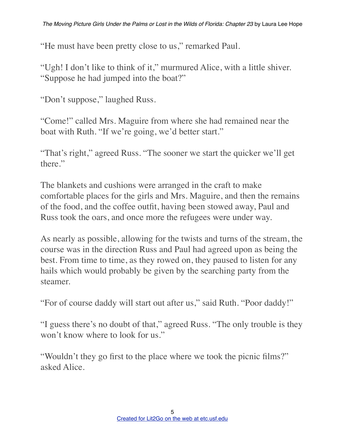"He must have been pretty close to us," remarked Paul.

"Ugh! I don't like to think of it," murmured Alice, with a little shiver. "Suppose he had jumped into the boat?"

"Don't suppose," laughed Russ.

"Come!" called Mrs. Maguire from where she had remained near the boat with Ruth. "If we're going, we'd better start."

"That's right," agreed Russ. "The sooner we start the quicker we'll get there."

The blankets and cushions were arranged in the craft to make comfortable places for the girls and Mrs. Maguire, and then the remains of the food, and the coffee outfit, having been stowed away, Paul and Russ took the oars, and once more the refugees were under way.

As nearly as possible, allowing for the twists and turns of the stream, the course was in the direction Russ and Paul had agreed upon as being the best. From time to time, as they rowed on, they paused to listen for any hails which would probably be given by the searching party from the steamer.

"For of course daddy will start out after us," said Ruth. "Poor daddy!"

"I guess there's no doubt of that," agreed Russ. "The only trouble is they won't know where to look for us."

"Wouldn't they go first to the place where we took the picnic films?" asked Alice.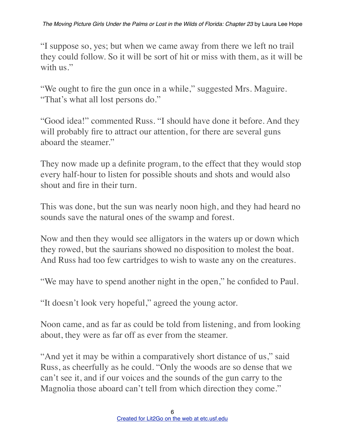"I suppose so, yes; but when we came away from there we left no trail they could follow. So it will be sort of hit or miss with them, as it will be with us."

"We ought to fire the gun once in a while," suggested Mrs. Maguire. "That's what all lost persons do."

"Good idea!" commented Russ. "I should have done it before. And they will probably fire to attract our attention, for there are several guns aboard the steamer."

They now made up a definite program, to the effect that they would stop every half-hour to listen for possible shouts and shots and would also shout and fire in their turn.

This was done, but the sun was nearly noon high, and they had heard no sounds save the natural ones of the swamp and forest.

Now and then they would see alligators in the waters up or down which they rowed, but the saurians showed no disposition to molest the boat. And Russ had too few cartridges to wish to waste any on the creatures.

"We may have to spend another night in the open," he confided to Paul.

"It doesn't look very hopeful," agreed the young actor.

Noon came, and as far as could be told from listening, and from looking about, they were as far off as ever from the steamer.

"And yet it may be within a comparatively short distance of us," said Russ, as cheerfully as he could. "Only the woods are so dense that we can't see it, and if our voices and the sounds of the gun carry to the Magnolia those aboard can't tell from which direction they come."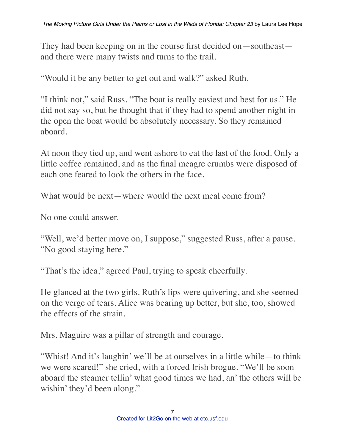They had been keeping on in the course first decided on—southeast and there were many twists and turns to the trail.

"Would it be any better to get out and walk?" asked Ruth.

"I think not," said Russ. "The boat is really easiest and best for us." He did not say so, but he thought that if they had to spend another night in the open the boat would be absolutely necessary. So they remained aboard.

At noon they tied up, and went ashore to eat the last of the food. Only a little coffee remained, and as the final meagre crumbs were disposed of each one feared to look the others in the face.

What would be next—where would the next meal come from?

No one could answer.

"Well, we'd better move on, I suppose," suggested Russ, after a pause. "No good staying here."

"That's the idea," agreed Paul, trying to speak cheerfully.

He glanced at the two girls. Ruth's lips were quivering, and she seemed on the verge of tears. Alice was bearing up better, but she, too, showed the effects of the strain.

Mrs. Maguire was a pillar of strength and courage.

"Whist! And it's laughin' we'll be at ourselves in a little while—to think we were scared!" she cried, with a forced Irish brogue. "We'll be soon aboard the steamer tellin' what good times we had, an' the others will be wishin' they'd been along."